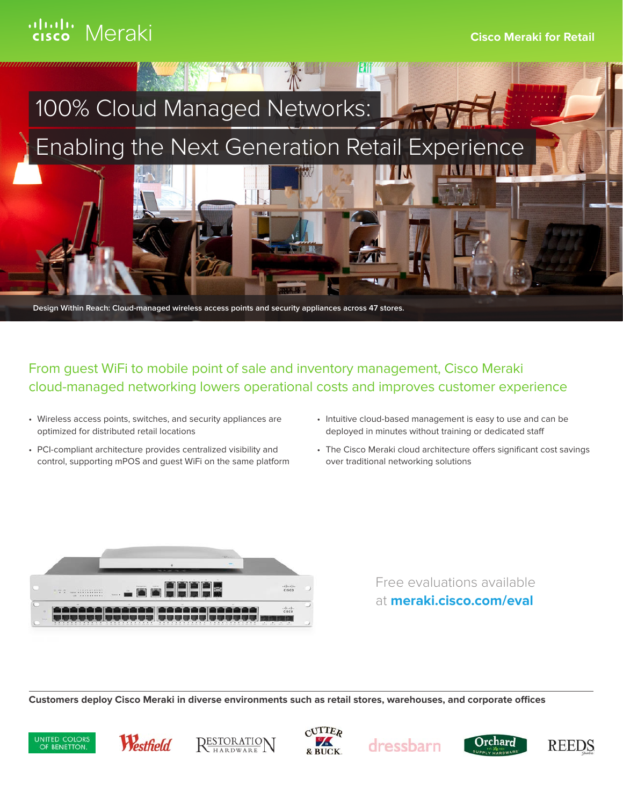

From guest WiFi to mobile point of sale and inventory management, Cisco Meraki cloud-managed networking lowers operational costs and improves customer experience

- Wireless access points, switches, and security appliances are optimized for distributed retail locations
- PCI-compliant architecture provides centralized visibility and control, supporting mPOS and guest WiFi on the same platform
- Intuitive cloud-based management is easy to use and can be deployed in minutes without training or dedicated staff
- The Cisco Meraki cloud architecture offers significant cost savings over traditional networking solutions



Free evaluations available at **meraki.cisco.com/eval**

**Customers deploy Cisco Meraki in diverse environments such as retail stores, warehouses, and corporate offices**













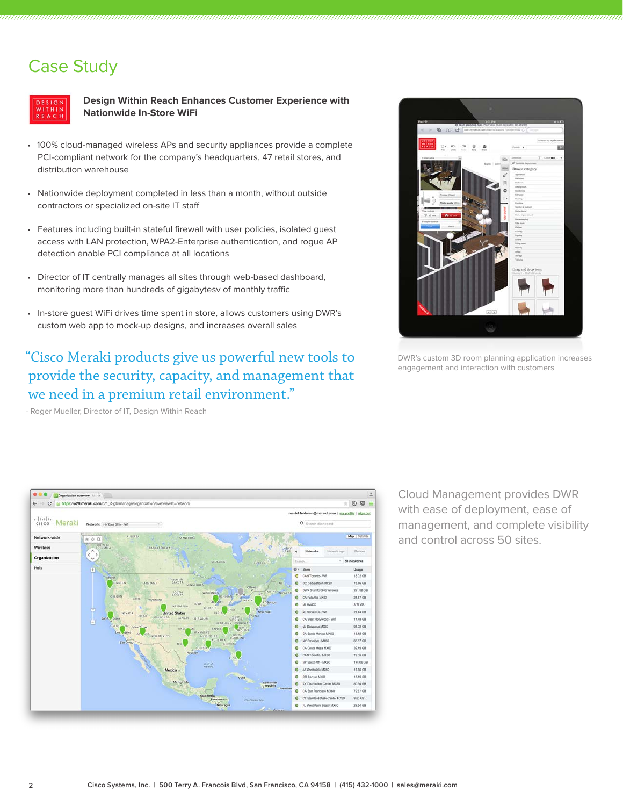## Case Study



**Design Within Reach Enhances Customer Experience with Nationwide In-Store WiFi**

- 100% cloud-managed wireless APs and security appliances provide a complete PCI-compliant network for the company's headquarters, 47 retail stores, and distribution warehouse
- Nationwide deployment completed in less than a month, without outside contractors or specialized on-site IT staff
- Features including built-in stateful firewall with user policies, isolated guest access with LAN protection, WPA2-Enterprise authentication, and rogue AP detection enable PCI compliance at all locations
- Director of IT centrally manages all sites through web-based dashboard, monitoring more than hundreds of gigabytesv of monthly traffic
- In-store guest WiFi drives time spent in store, allows customers using DWR's custom web app to mock-up designs, and increases overall sales

### "Cisco Meraki products give us powerful new tools to provide the security, capacity, and management that we need in a premium retail environment."

- Roger Mueller, Director of IT, Design Within Reach



DWR's custom 3D room planning application increases engagement and interaction with customers



Cloud Management provides DWR with ease of deployment, ease of management, and complete visibility and control across 50 sites.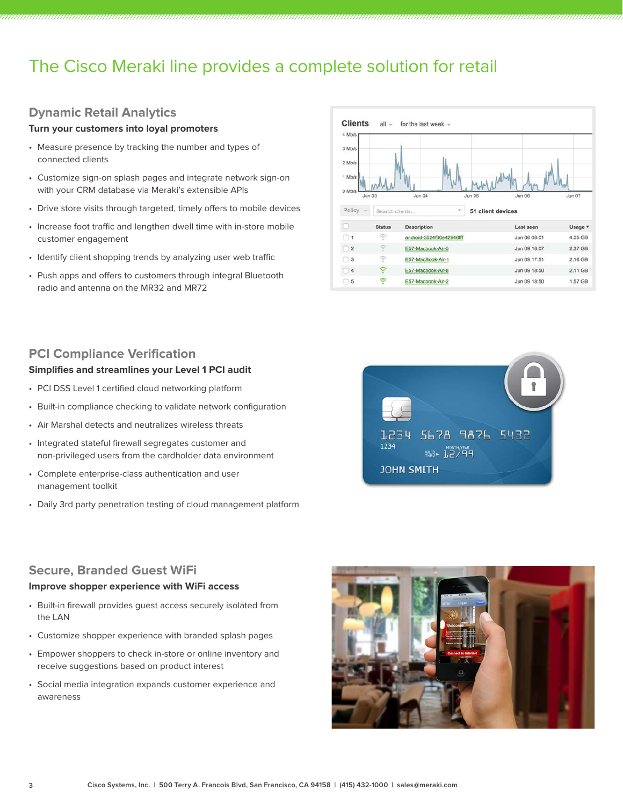## The Cisco Meraki line provides a complete solution for retail

### **Dynamic Retail Analytics**

#### **Turn your customers into loyal promoters**

- Measure presence by tracking the number and types of connected clients
- Customize sign-on splash pages and integrate network sign-on with your CRM database via Meraki's extensible APIs
- Drive store visits through targeted, timely offers to mobile devices
- Increase foot traffic and lengthen dwell time with in-store mobile customer engagement
- Identify client shopping trends by analyzing user web traffic
- Push apps and offers to customers through integral Bluetooth radio and antenna on the MR32 and MR72



### **PCI Compliance Verification**

#### **Simplifies and streamlines your Level 1 PCI audit**

- PCI DSS Level 1 certified cloud networking platform
- Built-in compliance checking to validate network configuration
- Air Marshal detects and neutralizes wireless threats
- Integrated stateful firewall segregates customer and non-privileged users from the cardholder data environment
- Complete enterprise-class authentication and user management toolkit
- Daily 3rd party penetration testing of cloud management platform



#### **Secure, Branded Guest WiFi**

#### **Improve shopper experience with WiFi access**

- Built-in firewall provides guest access securely isolated from the LAN
- Customize shopper experience with branded splash pages
- Empower shoppers to check in-store or online inventory and receive suggestions based on product interest
- Social media integration expands customer experience and awareness